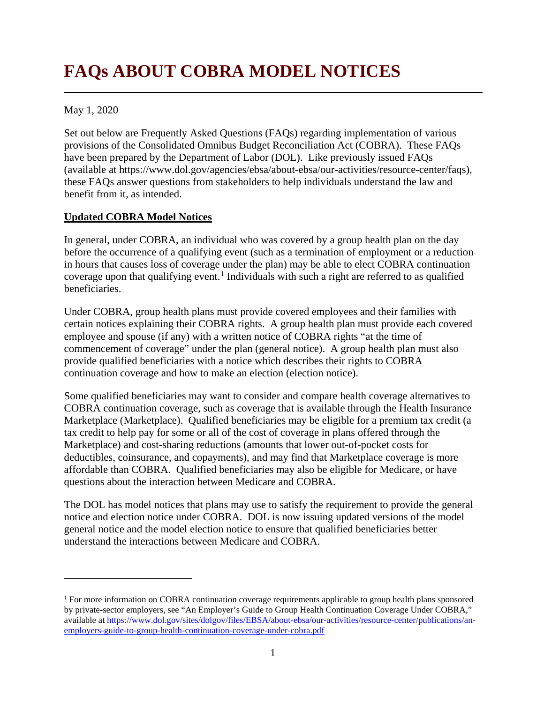# **FAQs ABOUT COBRA MODEL NOTICES**

May 1, 2020

 $\overline{a}$ 

Set out below are Frequently Asked Questions (FAQs) regarding implementation of various provisions of the Consolidated Omnibus Budget Reconciliation Act (COBRA). These FAQs have been prepared by the Department of Labor (DOL). Like previously issued FAQs (available at [https://www.dol.gov/agencies/ebsa/about-ebsa/our-activities/resource-center/faqs\)](https://www.dol.gov/agencies/ebsa/about-ebsa/our-activities/resource-center/faqs), these FAQs answer questions from stakeholders to help individuals understand the law and benefit from it, as intended.

## **Updated COBRA Model Notices**

In general, under COBRA, an individual who was covered by a group health plan on the day before the occurrence of a qualifying event (such as a termination of employment or a reduction in hours that causes loss of coverage under the plan) may be able to elect COBRA continuation coverage upon that qualifying event.<sup>[1](#page-0-0)</sup> Individuals with such a right are referred to as qualified beneficiaries.

Under COBRA, group health plans must provide covered employees and their families with certain notices explaining their COBRA rights. A group health plan must provide each covered employee and spouse (if any) with a written notice of COBRA rights "at the time of commencement of coverage" under the plan (general notice). A group health plan must also provide qualified beneficiaries with a notice which describes their rights to COBRA continuation coverage and how to make an election (election notice).

Some qualified beneficiaries may want to consider and compare health coverage alternatives to COBRA continuation coverage, such as coverage that is available through the Health Insurance Marketplace (Marketplace). Qualified beneficiaries may be eligible for a premium tax credit (a tax credit to help pay for some or all of the cost of coverage in plans offered through the Marketplace) and cost-sharing reductions (amounts that lower out-of-pocket costs for deductibles, coinsurance, and copayments), and may find that Marketplace coverage is more affordable than COBRA. Qualified beneficiaries may also be eligible for Medicare, or have questions about the interaction between Medicare and COBRA.

The DOL has model notices that plans may use to satisfy the requirement to provide the general notice and election notice under COBRA. DOL is now issuing updated versions of the model general notice and the model election notice to ensure that qualified beneficiaries better understand the interactions between Medicare and COBRA.

<span id="page-0-0"></span><sup>1</sup> For more information on COBRA continuation coverage requirements applicable to group health plans sponsored by private-sector employers, see "An Employer's Guide to Group Health Continuation Coverage Under COBRA," available a[t https://www.dol.gov/sites/dolgov/files/EBSA/about-ebsa/our-activities/resource-center/publications/an](https://www.dol.gov/sites/dolgov/files/EBSA/about-ebsa/our-activities/resource-center/publications/an-employers-guide-to-group-health-continuation-coverage-under-cobra.pdf)[employers-guide-to-group-health-continuation-coverage-under-cobra.pdf](https://www.dol.gov/sites/dolgov/files/EBSA/about-ebsa/our-activities/resource-center/publications/an-employers-guide-to-group-health-continuation-coverage-under-cobra.pdf)